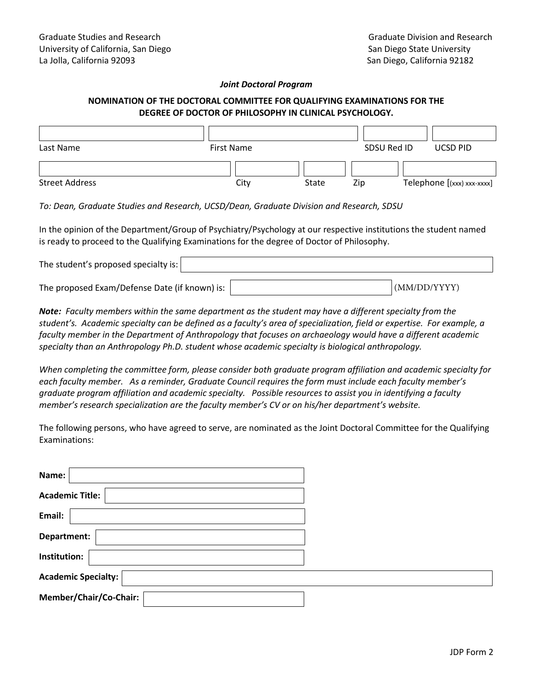## *Joint Doctoral Program*

## **NOMINATION OF THE DOCTORAL COMMITTEE FOR QUALIFYING EXAMINATIONS FOR THE DEGREE OF DOCTOR OF PHILOSOPHY IN CLINICAL PSYCHOLOGY.**

| Last Name             | <b>First Name</b> |       | SDSU Red ID | <b>UCSD PID</b>            |
|-----------------------|-------------------|-------|-------------|----------------------------|
|                       |                   |       |             |                            |
| <b>Street Address</b> | City              | State | Zip         | Telephone [(xxx) xxx-xxxx] |

*To: Dean, Graduate Studies and Research, UCSD/Dean, Graduate Division and Research, SDSU* 

In the opinion of the Department/Group of Psychiatry/Psychology at our respective institutions the student named is ready to proceed to the Qualifying Examinations for the degree of Doctor of Philosophy.

| The student's proposed specialty is:          |              |
|-----------------------------------------------|--------------|
| The proposed Exam/Defense Date (if known) is: | (MM/DD/YYYY) |

*Note: Faculty members within the same department as the student may have a different specialty from the student's. Academic specialty can be defined as a faculty's area of specialization, field or expertise. For example, a faculty member in the Department of Anthropology that focuses on archaeology would have a different academic specialty than an Anthropology Ph.D. student whose academic specialty is biological anthropology.* 

*When completing the committee form, please consider both graduate program affiliation and academic specialty for each faculty member. As a reminder, Graduate Council requires the form must include each faculty member's graduate program affiliation and academic specialty. Possible resources to assist you in identifying a faculty member's research specialization are the faculty member's CV or on his/her department's website.* 

The following persons, who have agreed to serve, are nominated as the Joint Doctoral Committee for the Qualifying Examinations:

| Name:                      |  |
|----------------------------|--|
| <b>Academic Title:</b>     |  |
| Email:                     |  |
| Department:                |  |
| Institution:               |  |
| <b>Academic Specialty:</b> |  |
| Member/Chair/Co-Chair:     |  |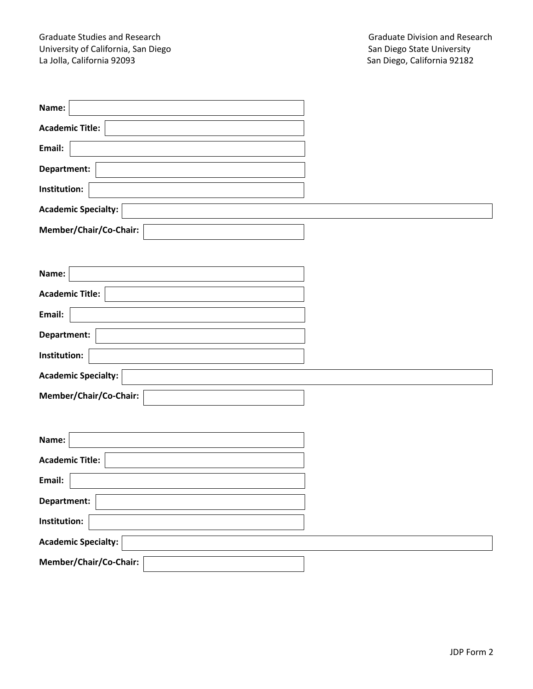Graduate Studies and Research Graduate Division and Research Graduate Division and Research Graduate Division and Research University University of California, San Diego<br>La Jolla, California 92093

| Name:                      |  |
|----------------------------|--|
| <b>Academic Title:</b>     |  |
| Email:                     |  |
| Department:                |  |
| Institution:               |  |
| <b>Academic Specialty:</b> |  |
| Member/Chair/Co-Chair:     |  |
|                            |  |
| Name:                      |  |
| <b>Academic Title:</b>     |  |
| Email:                     |  |
| Department:                |  |
| Institution:               |  |
| <b>Academic Specialty:</b> |  |
| Member/Chair/Co-Chair:     |  |
|                            |  |
| Name:                      |  |
| <b>Academic Title:</b>     |  |
| Email:                     |  |
| Department:                |  |
| Institution:               |  |
| <b>Academic Specialty:</b> |  |
| Member/Chair/Co-Chair:     |  |